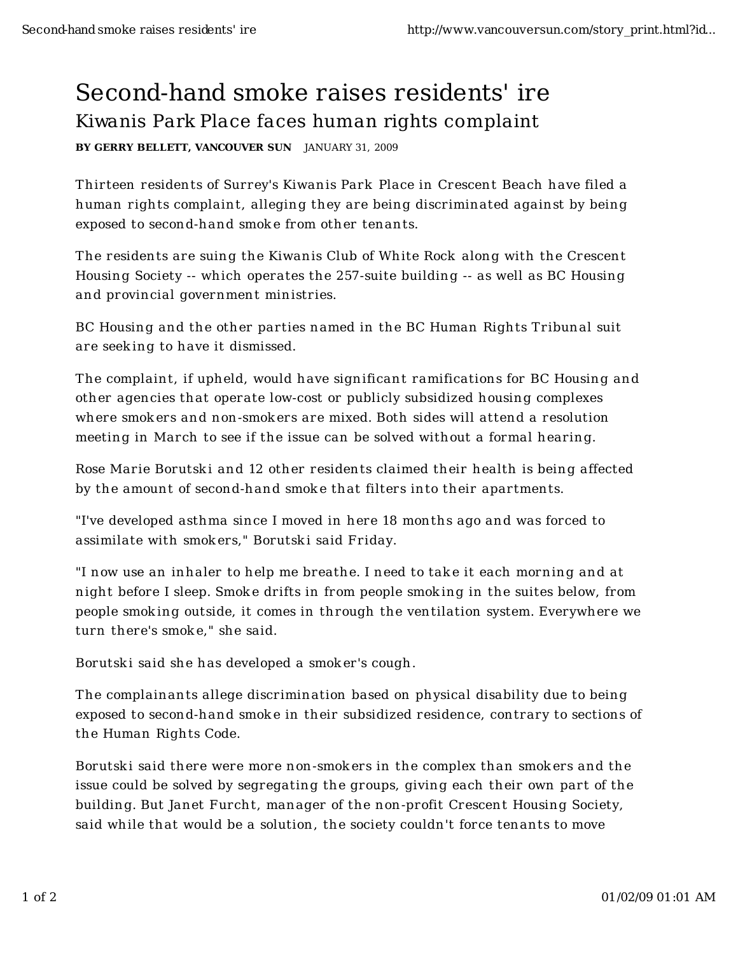## Second-hand smoke raises residents' ire Kiwanis Park Place faces human rights complaint

BY GERRY BELLETT, VANCOUVER SUN JANUARY 31, 2009

Thirteen residents of Surrey's Kiwanis Park Place in Crescent Beach have filed a human rights complaint, alleging they are being discriminated against by being exposed to second-hand smoke from other tenants.

The residents are suing the Kiwanis Club of White Rock along with the Crescent Housing Society -- which operates the 257-suite building -- as well as BC Housing and provincial government ministries.

BC Housing and the other parties named in the BC Human Rights Tribunal suit are seeking to have it dismissed.

The complaint, if upheld, would have significant ramifications for BC Housing and other agencies that operate low-cost or publicly subsidized housing complexes where smokers and non-smokers are mixed. Both sides will attend a resolution meeting in March to see if the issue can be solved without a formal hearing.

Rose Marie Borutski and 12 other residents claimed their health is being affected by the amount of second-hand smoke that filters into their apartments.

"I've developed asthma since I moved in here 18 months ago and was forced to assimilate with smokers," Borutski said Friday.

"I now use an inhaler to help me breathe. I need to take it each morning and at night before I sleep. Smoke drifts in from people smoking in the suites below, from people smoking outside, it comes in through the ventilation system. Everywhere we turn there's smoke," she said.

Borutski said she has developed a smoker's cough.

The complainants allege discrimination based on physical disability due to being exposed to second-hand smoke in their subsidized residence, contrary to sections of the Human Rights Code.

Borutski said there were more non-smokers in the complex than smokers and the issue could be solved by segregating the groups, giving each their own part of the building. But Janet Furcht, manager of the non-profit Crescent Housing Society, said while that would be a solution, the society couldn't force tenants to move